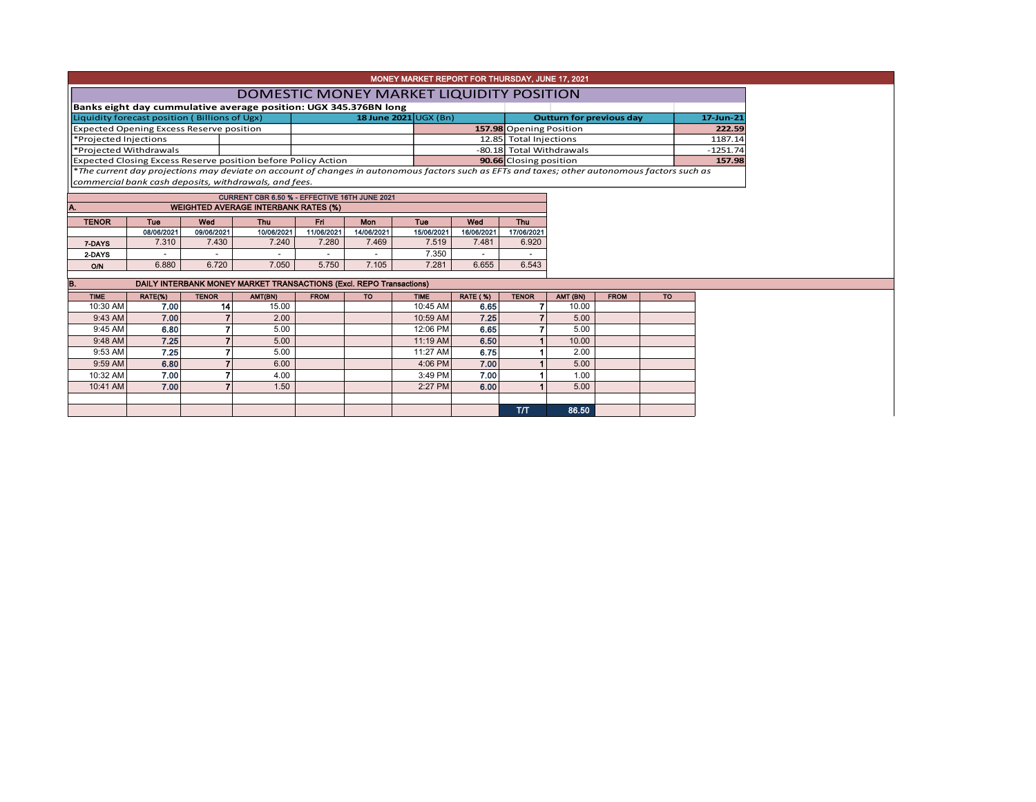| ' MONEY MARKET REPORT FOR THURSDAY, JUNE 17, 2021 , |  |
|-----------------------------------------------------|--|
|                                                     |  |
| DOMESTIC MONEY MARKET LIQUIDITY POSITION            |  |

**Banks eight day cummulative average position: UGX 345.376BN long**

| TDAIIKS EIGHT QUY CUINNIQUUR UVELUGE DOSITION. OGA 343.370DIN IONG                                                                                        |                         |  |                                 |            |
|-----------------------------------------------------------------------------------------------------------------------------------------------------------|-------------------------|--|---------------------------------|------------|
| Liquidity forecast position (Billions of Ugx)                                                                                                             | 18 June $2021$ UGX (Bn) |  | <b>Outturn for previous day</b> | 17-Jun-21  |
| <b>Expected Opening Excess Reserve position</b>                                                                                                           |                         |  | 157.98 Opening Position         | 222.59     |
| Projected Injections                                                                                                                                      |                         |  | 12.85 Total Injections          | 1187.14    |
| Projected Withdrawals                                                                                                                                     |                         |  | -80.18 Total Withdrawals        | $-1251.74$ |
| <b>Expected Closing Excess Reserve position before Policy Action</b>                                                                                      |                         |  | 90.66 Closing position          | 157.98     |
| <sup>*</sup> The current day projections may deviate on account of changes in autonomous factors such as EFTs and taxes; other autonomous factors such as |                         |  |                                 |            |

*commercial bank cash deposits, withdrawals, and fees.*

|                                                                      |            |            | CURRENT CBR 6.50 % - EFFECTIVE 16TH JUNE 2021 |                          |            |            |            |            |
|----------------------------------------------------------------------|------------|------------|-----------------------------------------------|--------------------------|------------|------------|------------|------------|
| IA.                                                                  |            |            | <b>WEIGHTED AVERAGE INTERBANK RATES (%)</b>   |                          |            |            |            |            |
| <b>TENOR</b><br>Wed<br>Wed<br><b>Thu</b><br>Mon<br>Tue<br>Eri<br>Tue |            |            |                                               |                          |            |            |            |            |
|                                                                      | 08/06/2021 | 09/06/2021 | 10/06/2021                                    | 11/06/2021               | 14/06/2021 | 15/06/2021 | 16/06/2021 | 17/06/2021 |
| 7-DAYS                                                               | 7.310      | 7.430      | 7.240                                         | 7.280                    | 7.469      | 7.519      | 7.481      | 6.920      |
| 2-DAYS                                                               | -          | -          |                                               | $\overline{\phantom{0}}$ |            | 7.350      | -          |            |
| <b>O/N</b>                                                           | 6.880      | 6.720      | 7.050                                         | 5.750                    | 7.105      | 7.281      | 6.655      | 6.543      |

| B.          |         |                 | DAILY INTERBANK MONEY MARKET TRANSACTIONS (Excl. REPO Transactions) |             |           |             |                 |              |          |             |           |
|-------------|---------|-----------------|---------------------------------------------------------------------|-------------|-----------|-------------|-----------------|--------------|----------|-------------|-----------|
| <b>TIME</b> | RATE(%) | <b>TENOR</b>    | AMT(BN)                                                             | <b>FROM</b> | <b>TO</b> | <b>TIME</b> | <b>RATE (%)</b> | <b>TENOR</b> | AMT (BN) | <b>FROM</b> | <b>TO</b> |
| 10:30 AM    | 7.00    | 14 <sub>1</sub> | 15.00                                                               |             |           | 10:45 AM    | 6.65            |              | 10.00    |             |           |
| $9:43$ AM   | 7.00    |                 | 2.00                                                                |             |           | 10:59 AM    | 7.25            |              | 5.00     |             |           |
| 9:45 AM     | 6.80    |                 | 5.00                                                                |             |           | 12:06 PM    | 6.65            |              | 5.00     |             |           |
| $9:48$ AM   | 7.25    |                 | 5.00                                                                |             |           | 11:19 AM    | 6.50            |              | 10.00    |             |           |
| 9:53 AM     | 7.25    |                 | 5.00                                                                |             |           | 11:27 AM    | 6.75            |              | 2.00     |             |           |
| $9:59$ AM   | 6.80    |                 | 6.00                                                                |             |           | 4:06 PM     | 7.00            |              | 5.00     |             |           |
| 10:32 AM    | 7.00    |                 | 4.00                                                                |             |           | 3:49 PM     | 7.00            |              | 1.00     |             |           |
| 10:41 AM    | 7.00    |                 | 1.50                                                                |             |           | 2:27 PM     | 6.00            |              | 5.00     |             |           |
|             |         |                 |                                                                     |             |           |             |                 |              |          |             |           |
|             |         |                 |                                                                     |             |           |             |                 | тл           | 86.50    |             |           |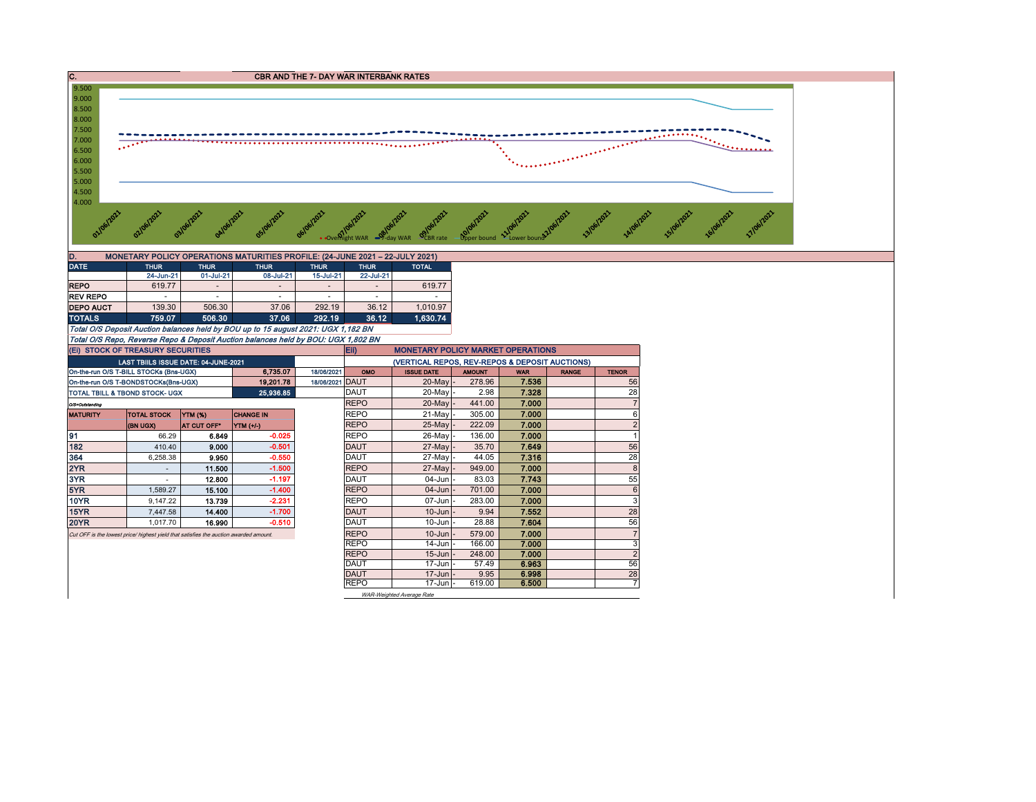

| D.               |             |                          | MONETARY POLICY OPERATIONS MATURITIES PROFILE: (24-JUNE 2021 - 22-JULY 2021) |             |             |              |
|------------------|-------------|--------------------------|------------------------------------------------------------------------------|-------------|-------------|--------------|
| <b>DATE</b>      | <b>THUR</b> | <b>THUR</b>              | <b>THUR</b>                                                                  | <b>THUR</b> | <b>THUR</b> | <b>TOTAL</b> |
|                  | 24-Jun-21   | 01-Jul-21                | 08-Jul-21                                                                    | 15-Jul-21   | 22-Jul-21   |              |
| <b>REPO</b>      | 619.77      | $\overline{\phantom{a}}$ | -                                                                            | $\,$        |             | 619.77       |
| <b>REV REPO</b>  |             |                          |                                                                              | -           |             | -            |
| <b>DEPO AUCT</b> | 139.30      | 506.30                   | 37.06                                                                        | 292.19      | 36.12       | 1.010.97     |
| <b>TOTALS</b>    | 759.07      | 506.30                   | 37.06                                                                        | 292.19      | 36.12       | 1.630.74     |
| _ _ _ _ _ _      | .           | .                        | ___                                                                          | .           |             |              |

Total O/S Deposit Auction balances held by BOU up to 15 august 2021: UGX 1,182 BN Total O/S Repo, Reverse Repo & Deposit Auction balances held by BOU: UGX 1,802 BN

| (EI) STOCK OF TREASURY SECURITIES      |                                                                                       |                |                  |            | Eii)        | <b>MONETARY POLICY MARKET OPERATIONS</b>       |               |            |              |                |
|----------------------------------------|---------------------------------------------------------------------------------------|----------------|------------------|------------|-------------|------------------------------------------------|---------------|------------|--------------|----------------|
|                                        | LAST TBIILS ISSUE DATE: 04-JUNE-2021                                                  |                |                  |            |             | (VERTICAL REPOS, REV-REPOS & DEPOSIT AUCTIONS) |               |            |              |                |
| On-the-run O/S T-BILL STOCKs (Bns-UGX) |                                                                                       |                | 6.735.07         | 18/06/2021 | OMO         | <b>ISSUE DATE</b>                              | <b>AMOUNT</b> | <b>WAR</b> | <b>RANGE</b> | <b>TENOR</b>   |
| On-the-run O/S T-BONDSTOCKs(Bns-UGX)   |                                                                                       |                | 19.201.78        | 18/06/2021 | <b>DAUT</b> | 20-May -                                       | 278.96        | 7.536      |              | 56             |
|                                        | <b>TOTAL TBILL &amp; TBOND STOCK- UGX</b>                                             |                | 25,936.85        |            | <b>DAUT</b> | 20-Mayl                                        | 2.98          | 7.328      |              | 28             |
| O/S=Outstanding                        |                                                                                       |                |                  |            | <b>REPO</b> | 20-May -                                       | 441.00        | 7.000      |              | $\overline{7}$ |
| <b>MATURITY</b>                        | <b>TOTAL STOCK</b>                                                                    | <b>YTM (%)</b> | <b>CHANGE IN</b> |            | <b>REPO</b> | 21-May -                                       | 305.00        | 7.000      |              | 6              |
|                                        | (BN UGX)                                                                              | AT CUT OFF*    | YTM (+/-)        |            | <b>REPO</b> | 25-May -                                       | 222.09        | 7.000      |              | $\overline{2}$ |
| 91                                     | 66.29                                                                                 | 6.849          | $-0.025$         |            | <b>REPO</b> | 26-May -                                       | 136.00        | 7.000      |              |                |
| 182                                    | 410.40                                                                                | 9.000          | $-0.501$         |            | <b>DAUT</b> | 27-May -                                       | 35.70         | 7.649      |              | 56             |
| 364                                    | 6.258.38                                                                              | 9.950          | $-0.550$         |            | <b>DAUT</b> | 27-May -                                       | 44.05         | 7.316      |              | 28             |
| 2YR                                    | ٠                                                                                     | 11.500         | $-1.500$         |            | <b>REPO</b> | $27$ -May $-$                                  | 949.00        | 7.000      |              | 8              |
| 3YR                                    |                                                                                       | 12.800         | $-1.197$         |            | DAUT        | 04-Jun -                                       | 83.03         | 7.743      |              | 55             |
| 5YR                                    | 1.589.27                                                                              | 15.100         | $-1.400$         |            | <b>REPO</b> | $04 - Jun$                                     | 701.00        | 7.000      |              | 6              |
| <b>10YR</b>                            | 9.147.22                                                                              | 13.739         | $-2.231$         |            | <b>REPO</b> | 07-Junl                                        | 283.00        | 7.000      |              | 3              |
| 15YR                                   | 7.447.58                                                                              | 14.400         | $-1.700$         |            | <b>DAUT</b> | $10$ -Jun $-$                                  | 9.94          | 7.552      |              | 28             |
| <b>20YR</b>                            | 1.017.70                                                                              | 16.990         | $-0.510$         |            | <b>DAUT</b> | $10 - Jun$                                     | 28.88         | 7.604      |              | 56             |
|                                        | Cut OFF is the lowest price/ highest yield that satisfies the auction awarded amount. |                |                  |            | <b>REPO</b> | $10 - Jun$                                     | 579.00        | 7.000      |              | $\overline{7}$ |
|                                        |                                                                                       |                |                  |            | <b>REPO</b> | $14$ -Jun $-$                                  | 166.00        | 7.000      |              | 3              |
|                                        |                                                                                       |                |                  |            | <b>REPO</b> | $15 - Jun$                                     | 248.00        | 7.000      |              | $\overline{c}$ |
|                                        |                                                                                       |                |                  |            | <b>DAUT</b> | $17$ -Jun $-$                                  | 57.49         | 6.963      |              | 56             |
|                                        |                                                                                       |                |                  |            | <b>DAUT</b> | $17$ -Jun $-$                                  | 9.95          | 6.998      |              | 28             |
|                                        |                                                                                       |                |                  |            | <b>REPO</b> | $17 - Jun$ -                                   | 619.00        | 6.500      |              |                |
|                                        |                                                                                       |                |                  |            |             | WAR-Weighted Average Rate                      |               |            |              |                |